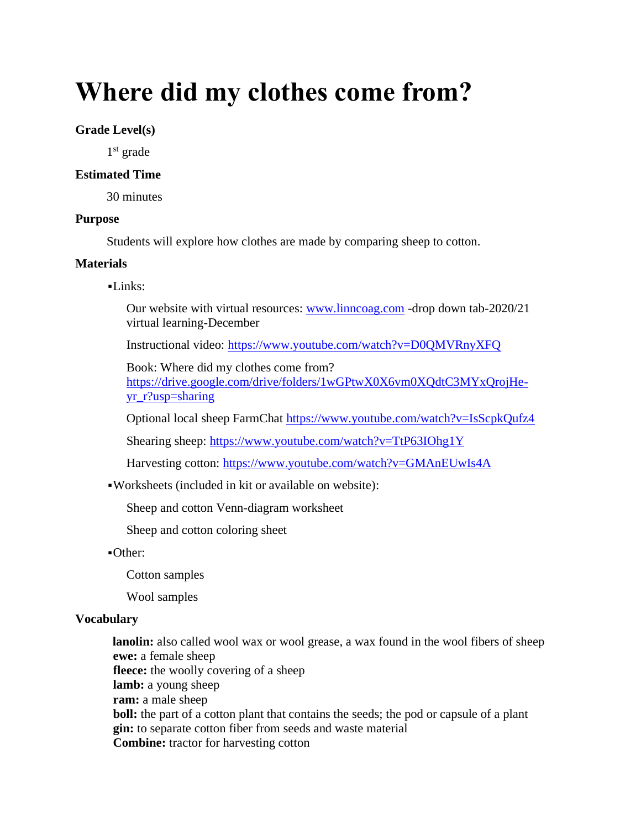# **Where did my clothes come from?**

## **Grade Level(s)**

1 st grade

### **Estimated Time**

30 minutes

#### **Purpose**

Students will explore how clothes are made by comparing sheep to cotton.

#### **Materials**

#### $-Links:$

Our website with virtual resources: [www.linncoag.com](http://www.linncoag.com/) -drop down tab-2020/21 virtual learning-December

Instructional video:<https://www.youtube.com/watch?v=D0QMVRnyXFQ>

Book: Where did my clothes come from?

[https://drive.google.com/drive/folders/1wGPtwX0X6vm0XQdtC3MYxQrojHe](https://drive.google.com/drive/folders/1wGPtwX0X6vm0XQdtC3MYxQrojHe-yr_r?usp=sharing)[yr\\_r?usp=sharing](https://drive.google.com/drive/folders/1wGPtwX0X6vm0XQdtC3MYxQrojHe-yr_r?usp=sharing)

Optional local sheep FarmChat<https://www.youtube.com/watch?v=IsScpkQufz4>

Shearing sheep:<https://www.youtube.com/watch?v=TtP63IOhg1Y>

Harvesting cotton:<https://www.youtube.com/watch?v=GMAnEUwIs4A>

▪Worksheets (included in kit or available on website):

Sheep and cotton Venn-diagram worksheet

Sheep and cotton coloring sheet

▪Other:

Cotton samples

Wool samples

## **Vocabulary**

**lanolin:** also called wool wax or wool grease, a wax found in the wool fibers of sheep **ewe:** a female sheep **fleece:** the woolly covering of a sheep **lamb:** a young sheep **ram:** a male sheep **boll:** the part of a cotton plant that contains the seeds; the pod or capsule of a plant **gin:** to separate cotton fiber from seeds and waste material **Combine:** tractor for harvesting cotton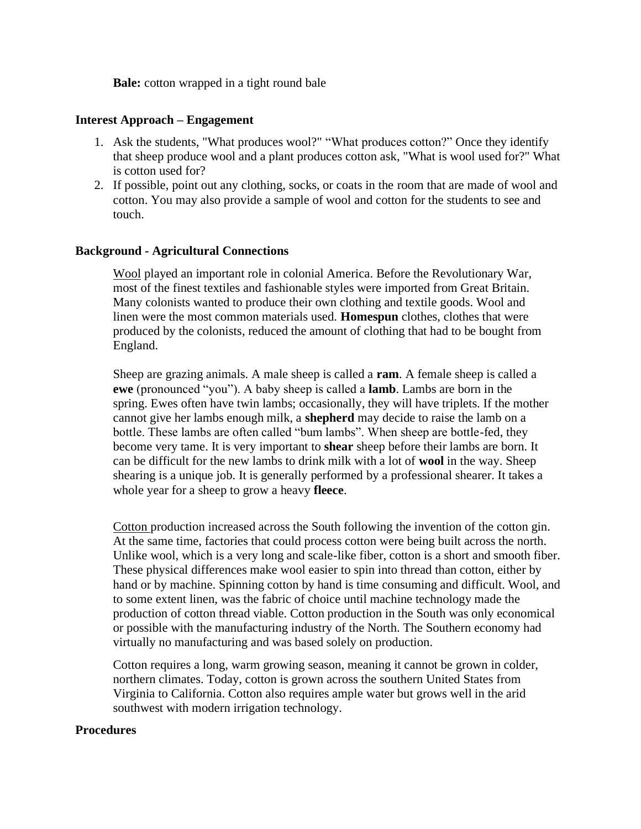**Bale:** cotton wrapped in a tight round bale

#### **Interest Approach – Engagement**

- 1. Ask the students, "What produces wool?" "What produces cotton?" Once they identify that sheep produce wool and a plant produces cotton ask, "What is wool used for?" What is cotton used for?
- 2. If possible, point out any clothing, socks, or coats in the room that are made of wool and cotton. You may also provide a sample of wool and cotton for the students to see and touch.

#### **Background - Agricultural Connections**

Wool played an important role in colonial America. Before the Revolutionary War, most of the finest textiles and fashionable styles were imported from Great Britain. Many colonists wanted to produce their own clothing and textile goods. Wool and linen were the most common materials used. **Homespun** clothes, clothes that were produced by the colonists, reduced the amount of clothing that had to be bought from England.

Sheep are grazing animals. A male sheep is called a **ram**. A female sheep is called a **ewe** (pronounced "you"). A baby sheep is called a **lamb**. Lambs are born in the spring. Ewes often have twin lambs; occasionally, they will have triplets. If the mother cannot give her lambs enough milk, a **shepherd** may decide to raise the lamb on a bottle. These lambs are often called "bum lambs". When sheep are bottle-fed, they become very tame. It is very important to **shear** sheep before their lambs are born. It can be difficult for the new lambs to drink milk with a lot of **wool** in the way. Sheep shearing is a unique job. It is generally performed by a professional shearer. It takes a whole year for a sheep to grow a heavy **fleece**.

Cotton production increased across the South following the invention of the cotton gin. At the same time, factories that could process cotton were being built across the north. Unlike wool, which is a very long and scale-like fiber, cotton is a short and smooth fiber. These physical differences make wool easier to spin into thread than cotton, either by hand or by machine. Spinning cotton by hand is time consuming and difficult. Wool, and to some extent linen, was the fabric of choice until machine technology made the production of cotton thread viable. Cotton production in the South was only economical or possible with the manufacturing industry of the North. The Southern economy had virtually no manufacturing and was based solely on production.

Cotton requires a long, warm growing season, meaning it cannot be grown in colder, northern climates. Today, cotton is grown across the southern United States from Virginia to California. Cotton also requires ample water but grows well in the arid southwest with modern irrigation technology.

#### **Procedures**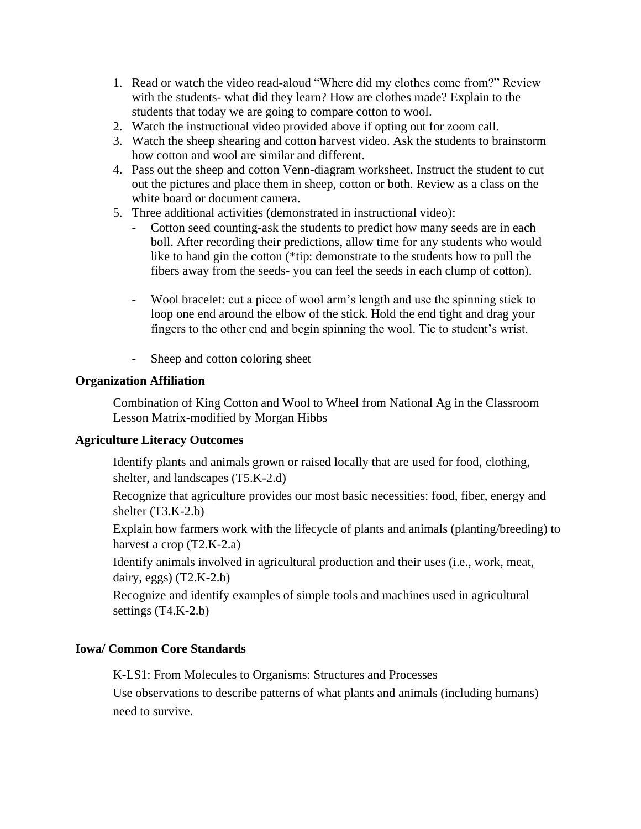- 1. Read or watch the video read-aloud "Where did my clothes come from?" Review with the students- what did they learn? How are clothes made? Explain to the students that today we are going to compare cotton to wool.
- 2. Watch the instructional video provided above if opting out for zoom call.
- 3. Watch the sheep shearing and cotton harvest video. Ask the students to brainstorm how cotton and wool are similar and different.
- 4. Pass out the sheep and cotton Venn-diagram worksheet. Instruct the student to cut out the pictures and place them in sheep, cotton or both. Review as a class on the white board or document camera.
- 5. Three additional activities (demonstrated in instructional video):
	- Cotton seed counting-ask the students to predict how many seeds are in each boll. After recording their predictions, allow time for any students who would like to hand gin the cotton (\*tip: demonstrate to the students how to pull the fibers away from the seeds- you can feel the seeds in each clump of cotton).
	- Wool bracelet: cut a piece of wool arm's length and use the spinning stick to loop one end around the elbow of the stick. Hold the end tight and drag your fingers to the other end and begin spinning the wool. Tie to student's wrist.
	- Sheep and cotton coloring sheet

## **Organization Affiliation**

Combination of King Cotton and Wool to Wheel from National Ag in the Classroom Lesson Matrix-modified by Morgan Hibbs

## **Agriculture Literacy Outcomes**

Identify plants and animals grown or raised locally that are used for food, clothing, shelter, and landscapes (T5.K-2.d)

Recognize that agriculture provides our most basic necessities: food, fiber, energy and shelter (T3.K-2.b)

Explain how farmers work with the lifecycle of plants and animals (planting/breeding) to harvest a crop (T2.K-2.a)

Identify animals involved in agricultural production and their uses (i.e., work, meat, dairy, eggs)  $(T2.K-2.b)$ 

Recognize and identify examples of simple tools and machines used in agricultural settings (T4.K-2.b)

## **Iowa/ Common Core Standards**

K-LS1: From Molecules to Organisms: Structures and Processes

Use observations to describe patterns of what plants and animals (including humans) need to survive.